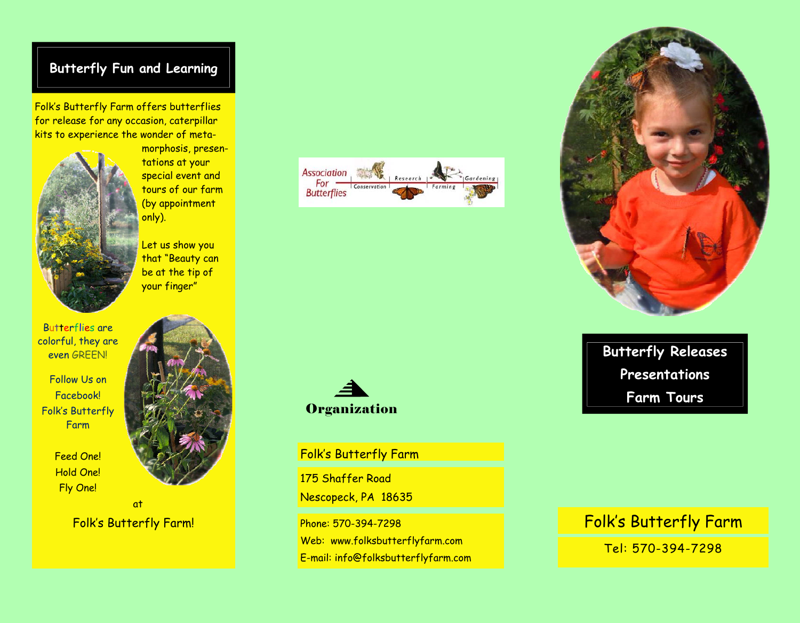# **Butterfly Fun and Learning**

Folk's Butterfly Farm offers butterflies for release for any occasion, caterpillar kits to experience the wonder of meta-



morphosis, presentations at your special event and tours of our farm (by appointment only).

Let us show you that "Beauty can be at the tip of your finger"

Butterflies are colorful, they are even GREEN!

Follow Us on Facebook! Folk's Butterfly Farm

> Feed One! Hold One! Fly One!



Folk's Butterfly Farm!





Folk's Butterfly Farm

175 Shaffer Road Nescopeck, PA 18635

Phone: 570-394-7298 Web: www.folksbutterflyfarm.com E-mail: info@folksbutterflyfarm.com



**Butterfly Releases Presentations Farm Tours** 

# Folk's Butterfly Farm

Tel: 570-394-7298